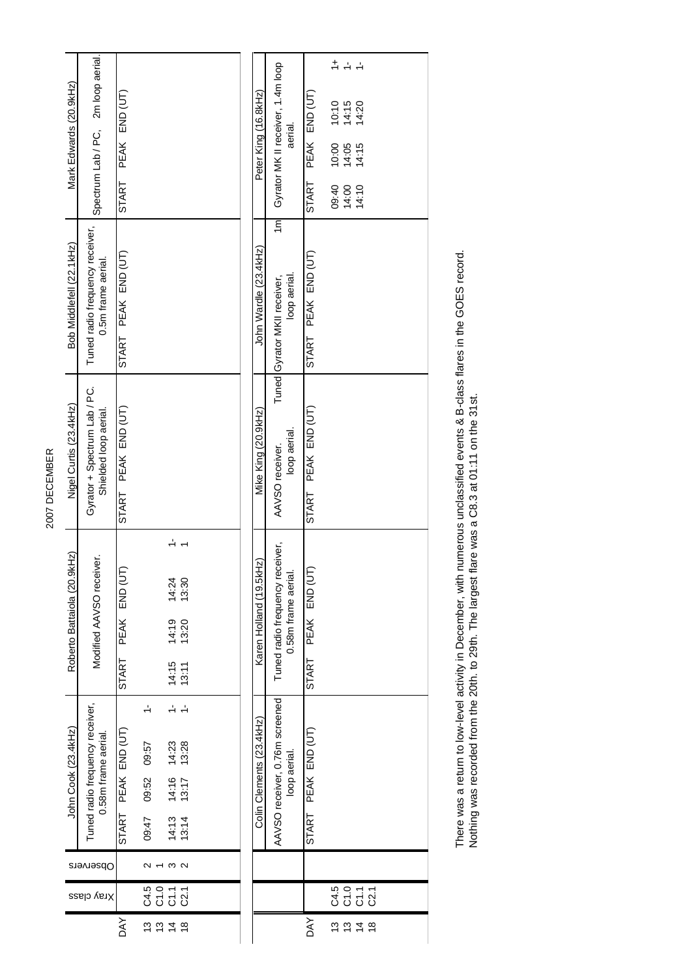| Mark Edwards (20.9kHz)      | Spectrum Lab / PC, 2m loop aerial.                     | PEAK END (UT)<br><b>START</b> |                                        |                                                                                     |                                           |                         |  | Peter King (16.8kHz)     | Gyrator MK II receiver, 1.4m loop              | aerial.            | PEAK END (UT)<br>START          | $\ddot{+}$<br>09:40 | 드<br>$10:10$<br>$14:15$<br>$14:20$<br>$10.00$<br>$14.15$<br>$14.15$<br>14:00<br>14:10 |                                                                                     |  |  |
|-----------------------------|--------------------------------------------------------|-------------------------------|----------------------------------------|-------------------------------------------------------------------------------------|-------------------------------------------|-------------------------|--|--------------------------|------------------------------------------------|--------------------|---------------------------------|---------------------|---------------------------------------------------------------------------------------|-------------------------------------------------------------------------------------|--|--|
| Bob Middlefell (22.1kHz)    | Tuned radio frequency receiver,<br>0.5m frame aerial.  | PEAK END (UT)<br><b>START</b> |                                        |                                                                                     |                                           |                         |  | John Wardle (23.4kHz)    | $\overline{m}$<br>Tuned Gyrator MKII receiver, | loop aerial        | PEAK END (UT)<br><b>START</b>   |                     |                                                                                       |                                                                                     |  |  |
| Nigel Curtis (23.4kHz)      | Gyrator + Spectrum Lab / PC.<br>Shielded loop aerial.  | PEAK END (UT)<br>START        |                                        |                                                                                     |                                           |                         |  | Mike King (20.9kHz)      | AAVSO receiver.                                | loop aerial        | PEAK END (UT)<br>START          |                     |                                                                                       |                                                                                     |  |  |
| Roberto Battaiola (20.9kHz) | Modified AAVSO receiver.                               | END (UT<br>PEAK<br>START      |                                        |                                                                                     | 14:24<br>14:19<br>14:15                   | 13:30<br>13:20<br>13:11 |  | Karen Holland (19.5kHz)  | Tuned radio frequency receiver,                | 0.58m frame aerial | END (UT<br>PEAK<br><b>START</b> |                     |                                                                                       |                                                                                     |  |  |
| John Cook (23.4kHz)         | Tuned radio frequency receiver,<br>0.58m frame aerial. | PEAK END (UT)<br>START        | $\overline{1}$<br>09:52 09:57<br>09:47 |                                                                                     | 14:23<br>13:28<br>14:16<br>13:17<br>14:13 | 13:14                   |  | Colin Clements (23.4kHz) | AAVSO receiver, 0.76m screened                 | loop aerial.       | PEAK END (UT)<br><b>START</b>   |                     |                                                                                       |                                                                                     |  |  |
|                             | Observers                                              |                               |                                        |                                                                                     | m a                                       |                         |  |                          |                                                |                    |                                 |                     |                                                                                       |                                                                                     |  |  |
|                             | Xray class                                             |                               |                                        |                                                                                     |                                           |                         |  |                          |                                                |                    |                                 |                     |                                                                                       | s o c c<br>3 5 5 8<br>3                                                             |  |  |
|                             |                                                        | DAY                           |                                        | $\tilde{\mathbf{c}}$ $\tilde{\mathbf{c}}$ $\tilde{\mathbf{d}}$ $\tilde{\mathbf{e}}$ |                                           |                         |  |                          |                                                |                    | ΆY                              |                     |                                                                                       | $\tilde{\mathbf{u}}$ $\tilde{\mathbf{u}}$ $\tilde{\mathbf{u}}$ $\tilde{\mathbf{u}}$ |  |  |

There was a return to low-level activity in December, with numerous unclassified events & B-class flares in the GOES record.<br>Nothing was recorded from the 20th. to 29th. The largest flare was a C8.3 at 01:11 on the 31st. There was a return to low-level activity in December, with numerous unclassified events & B-class flares in the GOES record. Nothing was recorded from the 20th. to 29th. The largest flare was a C8.3 at 01:11 on the 31st.

2007 DECEMBER 2007 DECEMBER